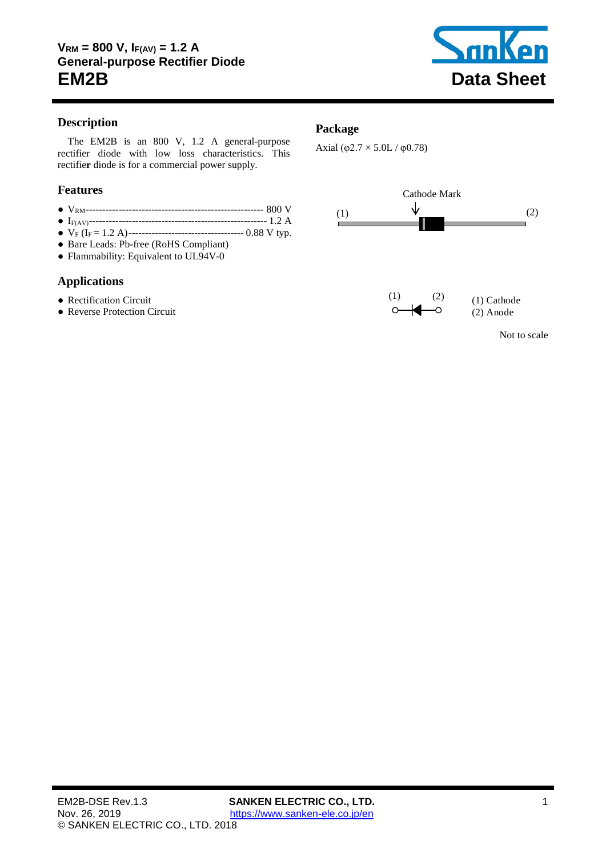

## **Description**

The EM2B is an [800](#page-1-0) V, [1.2](#page-1-1) A general-purpose rectifier diode with low loss characteristics. This rectifie**r** diode is for a commercial power supply.

### **Features**

- VRM------------------------------------------------------ [800](#page-1-0) V
- IF(AV)------------------------------------------------------ [1.2](#page-1-1) A
- VF (IF = [1.2](#page-1-2) A)----------------------------------- [0.88](#page-1-3) V typ.
- Bare Leads: Pb-free (RoHS Compliant)
- Flammability: Equivalent to UL94V-0

## **Applications**

- Rectification Circuit
- Reverse Protection Circuit

### **Package**

Axial ( $\varphi$ 2.7 × 5.0L /  $\varphi$ 0.78)

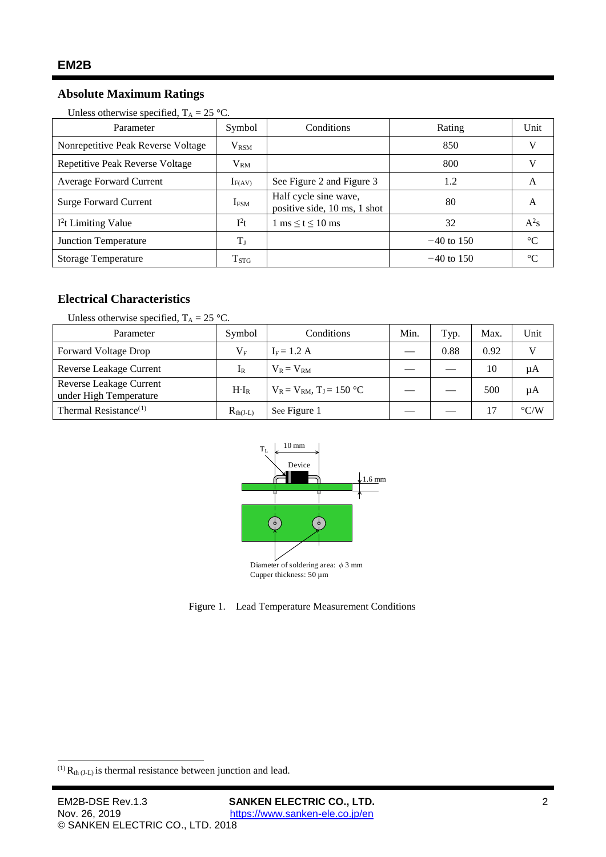# **Absolute Maximum Ratings**

#### Unless otherwise specified,  $T_A = 25$  °C.

| Parameter                          | Symbol                  | Conditions                                            | Rating       | Unit            |
|------------------------------------|-------------------------|-------------------------------------------------------|--------------|-----------------|
| Nonrepetitive Peak Reverse Voltage | $\rm V_{RSM}$           |                                                       | 850          | V               |
| Repetitive Peak Reverse Voltage    | $\rm V_{RM}$            |                                                       | 800          | V               |
| Average Forward Current            | $I_{F(AV)}$             | See Figure 2 and Figure 3                             | 1.2          | А               |
| <b>Surge Forward Current</b>       | <b>I</b> <sub>FSM</sub> | Half cycle sine wave,<br>positive side, 10 ms, 1 shot | 80           | A               |
| $I2t$ Limiting Value               | $I^2t$                  | $1 \text{ ms} \leq t \leq 10 \text{ ms}$              | 32           | $A^2s$          |
| Junction Temperature               | $T_{\rm J}$             |                                                       | $-40$ to 150 | $\rm ^{\circ}C$ |
| <b>Storage Temperature</b>         | $T_{\rm STG}$           |                                                       | $-40$ to 150 | $^{\circ}C$     |

# **Electrical Characteristics**

| Unless otherwise specified, $T_A = 25$ °C.        |               |                                 |      |      |      |                    |
|---------------------------------------------------|---------------|---------------------------------|------|------|------|--------------------|
| Parameter                                         | Symbol        | Conditions                      | Min. | Typ. | Max. | Unit               |
| <b>Forward Voltage Drop</b>                       | $\rm V_F$     | $I_F = 1.2 A$                   |      | 0.88 | 0.92 |                    |
| Reverse Leakage Current                           | $1_{\rm R}$   | $V_R = V_{RM}$                  |      |      | 10   | μA                 |
| Reverse Leakage Current<br>under High Temperature | $H \cdot I_R$ | $V_R = V_{RM}$ , $T_I = 150 °C$ |      |      | 500  | μA                 |
| Thermal Resistance <sup><math>(1)</math></sup>    | $R_{th(J-L)}$ | See Figure 1                    |      |      |      | $\rm ^{\circ} C/W$ |

<span id="page-1-3"></span><span id="page-1-2"></span><span id="page-1-1"></span><span id="page-1-0"></span>

<span id="page-1-4"></span>Figure 1. Lead Temperature Measurement Conditions

<span id="page-1-5"></span> $^{(1)}$  R<sub>th (J-L)</sub> is thermal resistance between junction and lead.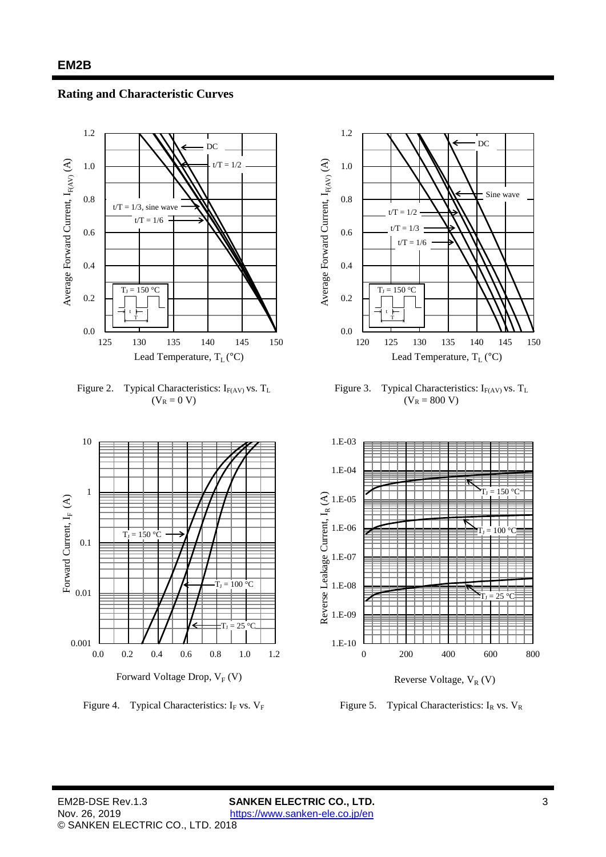### **Rating and Characteristic Curves**



<span id="page-2-0"></span>Figure 2. Typical Characteristics:  $I_{F(AV)}$  vs.  $T_L$  $(V_R = 0 V)$ 







<span id="page-2-1"></span>Figure 3. Typical Characteristics:  $I_{F(AV)}$  vs.  $T_L$  $(V_R = 800 V)$  $(V_R = 800 V)$  $(V_R = 800 V)$ 



Reverse Voltage,  $V_R$  (V)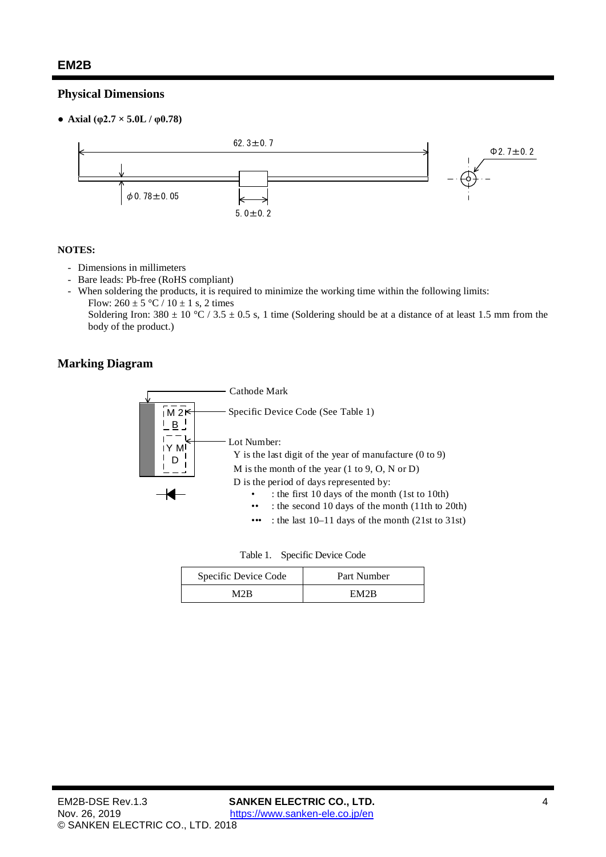# **Physical Dimensions**

 $\bullet$  **Axial**  $(\phi 2.7 \times 5.0L / \phi 0.78)$ 



#### **NOTES:**

- Dimensions in millimeters
- Bare leads: Pb-free (RoHS compliant)
- When soldering the products, it is required to minimize the working time within the following limits: Flow:  $260 \pm 5$  °C /  $10 \pm 1$  s, 2 times

Soldering Iron:  $380 \pm 10$  °C /  $3.5 \pm 0.5$  s, 1 time (Soldering should be at a distance of at least 1.5 mm from the body of the product.)

## **Marking Diagram**



| Table 1. | Specific Device Code |  |  |
|----------|----------------------|--|--|
|----------|----------------------|--|--|

| Specific Device Code | Part Number |
|----------------------|-------------|
| M2R                  | EM2R        |